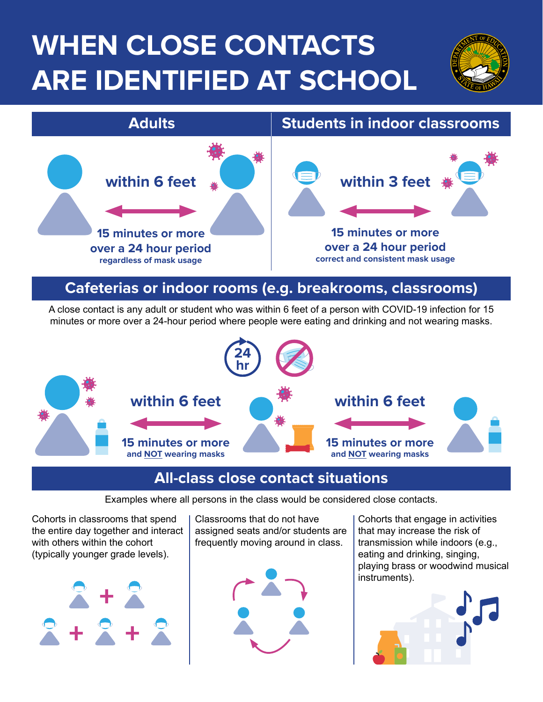# **WHEN CLOSE CONTACTS ARE IDENTIFIED AT SCHOOL**



### **Cafeterias or indoor rooms (e.g. breakrooms, classrooms)**

A close contact is any adult or student who was within 6 feet of a person with COVID-19 infection for 15 minutes or more over a 24-hour period where people were eating and drinking and not wearing masks.



### **All-class close contact situations**

Examples where all persons in the class would be considered close contacts.

Cohorts in classrooms that spend the entire day together and interact with others within the cohort (typically younger grade levels).



Classrooms that do not have assigned seats and/or students are frequently moving around in class.



Cohorts that engage in activities that may increase the risk of transmission while indoors (e.g., eating and drinking, singing, playing brass or woodwind musical instruments).